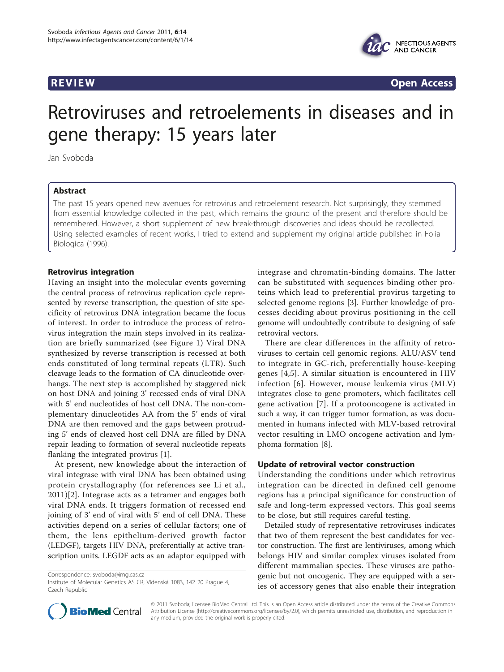

**REVIEW CONSTRUCTION CONSTRUCTION CONSTRUCTS** 

# Retroviruses and retroelements in diseases and in gene therapy: 15 years later

Jan Svoboda

# Abstract

The past 15 years opened new avenues for retrovirus and retroelement research. Not surprisingly, they stemmed from essential knowledge collected in the past, which remains the ground of the present and therefore should be remembered. However, a short supplement of new break-through discoveries and ideas should be recollected. Using selected examples of recent works, I tried to extend and supplement my original article published in Folia Biologica (1996).

# Retrovirus integration

Having an insight into the molecular events governing the central process of retrovirus replication cycle represented by reverse transcription, the question of site specificity of retrovirus DNA integration became the focus of interest. In order to introduce the process of retrovirus integration the main steps involved in its realization are briefly summarized (see Figure [1\)](#page-1-0) Viral DNA synthesized by reverse transcription is recessed at both ends constituted of long terminal repeats (LTR). Such cleavage leads to the formation of CA dinucleotide overhangs. The next step is accomplished by staggered nick on host DNA and joining 3' recessed ends of viral DNA with 5' end nucleotides of host cell DNA. The non-complementary dinucleotides AA from the 5' ends of viral DNA are then removed and the gaps between protruding 5' ends of cleaved host cell DNA are filled by DNA repair leading to formation of several nucleotide repeats flanking the integrated provirus [[1\]](#page-3-0).

At present, new knowledge about the interaction of viral integrase with viral DNA has been obtained using protein crystallography (for references see Li et al., 2011)[\[2](#page-3-0)]. Integrase acts as a tetramer and engages both viral DNA ends. It triggers formation of recessed end joining of 3' end of viral with 5' end of cell DNA. These activities depend on a series of cellular factors; one of them, the lens epithelium-derived growth factor (LEDGF), targets HIV DNA, preferentially at active transcription units. LEGDF acts as an adaptor equipped with

Correspondence: [svoboda@img.cas.cz](mailto:svoboda@img.cas.cz)

integrase and chromatin-binding domains. The latter can be substituted with sequences binding other proteins which lead to preferential provirus targeting to selected genome regions [[3\]](#page-3-0). Further knowledge of processes deciding about provirus positioning in the cell genome will undoubtedly contribute to designing of safe retroviral vectors.

There are clear differences in the affinity of retroviruses to certain cell genomic regions. ALU/ASV tend to integrate in GC-rich, preferentially house-keeping genes [\[4](#page-3-0),[5](#page-3-0)]. A similar situation is encountered in HIV infection [\[6\]](#page-3-0). However, mouse leukemia virus (MLV) integrates close to gene promoters, which facilitates cell gene activation [\[7](#page-3-0)]. If a protooncogene is activated in such a way, it can trigger tumor formation, as was documented in humans infected with MLV-based retroviral vector resulting in LMO oncogene activation and lymphoma formation [[8\]](#page-3-0).

## Update of retroviral vector construction

Understanding the conditions under which retrovirus integration can be directed in defined cell genome regions has a principal significance for construction of safe and long-term expressed vectors. This goal seems to be close, but still requires careful testing.

Detailed study of representative retroviruses indicates that two of them represent the best candidates for vector construction. The first are lentiviruses, among which belongs HIV and similar complex viruses isolated from different mammalian species. These viruses are pathogenic but not oncogenic. They are equipped with a series of accessory genes that also enable their integration



© 2011 Svoboda; licensee BioMed Central Ltd. This is an Open Access article distributed under the terms of the Creative Commons Attribution License [\(http://creativecommons.org/licenses/by/2.0](http://creativecommons.org/licenses/by/2.0)), which permits unrestricted use, distribution, and reproduction in any medium, provided the original work is properly cited.

Institute of Molecular Genetics AS CR, Vídenská 1083, 142 20 Prague 4, Czech Republic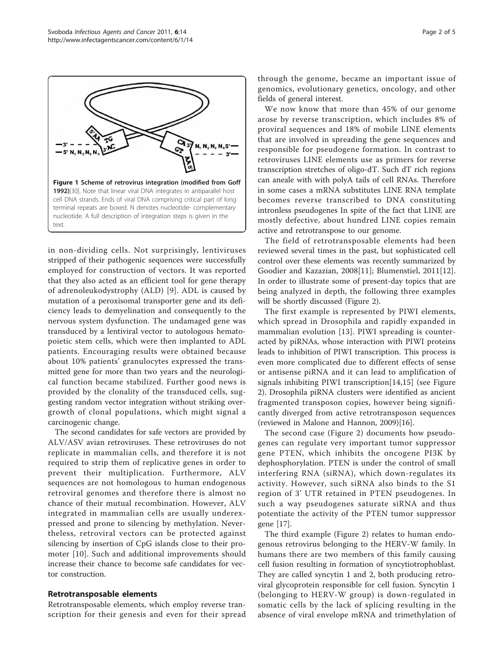<span id="page-1-0"></span>

in non-dividing cells. Not surprisingly, lentiviruses stripped of their pathogenic sequences were successfully employed for construction of vectors. It was reported that they also acted as an efficient tool for gene therapy of adrenoleukodystrophy (ALD) [\[9\]](#page-3-0). ADL is caused by mutation of a peroxisomal transporter gene and its deficiency leads to demyelination and consequently to the nervous system dysfunction. The undamaged gene was transduced by a lentiviral vector to autologous hematopoietic stem cells, which were then implanted to ADL patients. Encouraging results were obtained because about 10% patients' granulocytes expressed the transmitted gene for more than two years and the neurological function became stabilized. Further good news is provided by the clonality of the transduced cells, suggesting random vector integration without striking overgrowth of clonal populations, which might signal a carcinogenic change.

The second candidates for safe vectors are provided by ALV/ASV avian retroviruses. These retroviruses do not replicate in mammalian cells, and therefore it is not required to strip them of replicative genes in order to prevent their multiplication. Furthermore, ALV sequences are not homologous to human endogenous retroviral genomes and therefore there is almost no chance of their mutual recombination. However, ALV integrated in mammalian cells are usually underexpressed and prone to silencing by methylation. Nevertheless, retroviral vectors can be protected against silencing by insertion of CpG islands close to their promoter [[10](#page-3-0)]. Such and additional improvements should increase their chance to become safe candidates for vector construction.

### Retrotransposable elements

Retrotransposable elements, which employ reverse transcription for their genesis and even for their spread through the genome, became an important issue of genomics, evolutionary genetics, oncology, and other fields of general interest.

We now know that more than 45% of our genome arose by reverse transcription, which includes 8% of proviral sequences and 18% of mobile LINE elements that are involved in spreading the gene sequences and responsible for pseudogene formation. In contrast to retroviruses LINE elements use as primers for reverse transcription stretches of oligo-dT. Such dT rich regions can aneale with with polyA tails of cell RNAs. Therefore in some cases a mRNA substitutes LINE RNA template becomes reverse transcribed to DNA constituting intronless pseudogenes In spite of the fact that LINE are mostly defective, about hundred LINE copies remain active and retrotranspose to our genome.

The field of retrotransposable elements had been reviewed several times in the past, but sophisticated cell control over these elements was recently summarized by Goodier and Kazazian, 2008[\[11](#page-3-0)]; Blumenstiel, 2011[\[12](#page-3-0)]. In order to illustrate some of present-day topics that are being analyzed in depth, the following three examples will be shortly discussed (Figure [2\)](#page-2-0).

The first example is represented by PIWI elements, which spread in Drosophila and rapidly expanded in mammalian evolution [[13\]](#page-3-0). PIWI spreading is counteracted by piRNAs, whose interaction with PIWI proteins leads to inhibition of PIWI transcription. This process is even more complicated due to different effects of sense or antisense piRNA and it can lead to amplification of signals inhibiting PIWI transcription[\[14,15\]](#page-3-0) (see Figure [2\)](#page-2-0). Drosophila piRNA clusters were identified as ancient fragmented transposon copies, however being significantly diverged from active retrotransposon sequences (reviewed in Malone and Hannon, 2009)[[16](#page-4-0)].

The second case (Figure [2](#page-2-0)) documents how pseudogenes can regulate very important tumor suppressor gene PTEN, which inhibits the oncogene PI3K by dephosphorylation. PTEN is under the control of small interfering RNA (siRNA), which down-regulates its activity. However, such siRNA also binds to the S1 region of 3' UTR retained in PTEN pseudogenes. In such a way pseudogenes saturate siRNA and thus potentiate the activity of the PTEN tumor suppressor gene [[17\]](#page-4-0).

The third example (Figure [2\)](#page-2-0) relates to human endogenous retrovirus belonging to the HERV-W family. In humans there are two members of this family causing cell fusion resulting in formation of syncytiotrophoblast. They are called syncytin 1 and 2, both producing retroviral glycoprotein responsible for cell fusion. Syncytin 1 (belonging to HERV-W group) is down-regulated in somatic cells by the lack of splicing resulting in the absence of viral envelope mRNA and trimethylation of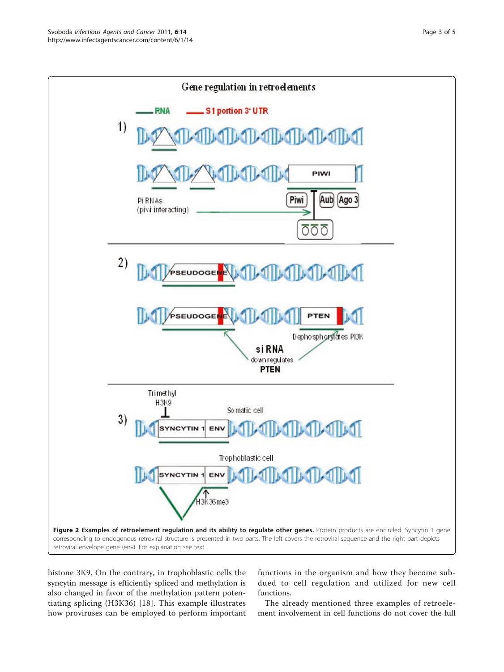<span id="page-2-0"></span>

histone 3K9. On the contrary, in trophoblastic cells the syncytin message is efficiently spliced and methylation is also changed in favor of the methylation pattern potentiating splicing (H3K36) [[18](#page-4-0)]. This example illustrates how proviruses can be employed to perform important functions in the organism and how they become subdued to cell regulation and utilized for new cell functions.

The already mentioned three examples of retroelement involvement in cell functions do not cover the full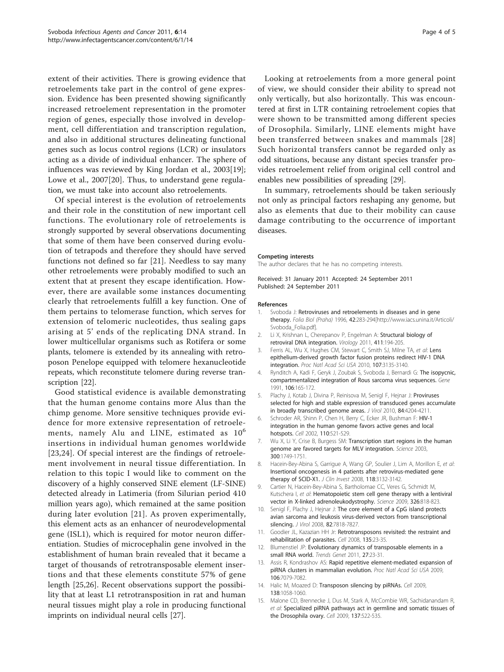<span id="page-3-0"></span>extent of their activities. There is growing evidence that retroelements take part in the control of gene expression. Evidence has been presented showing significantly increased retroelement representation in the promoter region of genes, especially those involved in development, cell differentiation and transcription regulation, and also in additional structures delineating functional genes such as locus control regions (LCR) or insulators acting as a divide of individual enhancer. The sphere of influences was reviewed by King Jordan et al., 2003[\[19](#page-4-0)]; Lowe et al., 2007[\[20](#page-4-0)]. Thus, to understand gene regulation, we must take into account also retroelements.

Of special interest is the evolution of retroelements and their role in the constitution of new important cell functions. The evolutionary role of retroelements is strongly supported by several observations documenting that some of them have been conserved during evolution of tetrapods and therefore they should have served functions not defined so far [[21\]](#page-4-0). Needless to say many other retroelements were probably modified to such an extent that at present they escape identification. However, there are available some instances documenting clearly that retroelements fulfill a key function. One of them pertains to telomerase function, which serves for extension of telomeric nucleotides, thus sealing gaps arising at 5' ends of the replicating DNA strand. In lower multicellular organisms such as Rotifera or some plants, telomere is extended by its annealing with retroposon Penelope equipped with telomere hexanucleotide repeats, which reconstitute telomere during reverse transcription [[22\]](#page-4-0).

Good statistical evidence is available demonstrating that the human genome contains more Alus than the chimp genome. More sensitive techniques provide evidence for more extensive representation of retroelements, namely Alu and LINE, estimated as  $10^6$ insertions in individual human genomes worldwide [[23,24](#page-4-0)]. Of special interest are the findings of retroelement involvement in neural tissue differentiation. In relation to this topic I would like to comment on the discovery of a highly conserved SINE element (LF-SINE) detected already in Latimeria (from Silurian period 410 million years ago), which remained at the same position during later evolution [[21](#page-4-0)]. As proven experimentally, this element acts as an enhancer of neurodevelopmental gene (ISL1), which is required for motor neuron differentiation. Studies of microcephalin gene involved in the establishment of human brain revealed that it became a target of thousands of retrotransposable element insertions and that these elements constitute 57% of gene length [\[25,26](#page-4-0)]. Recent observations support the possibility that at least L1 retrotransposition in rat and human neural tissues might play a role in producing functional imprints on individual neural cells [\[27](#page-4-0)].

Looking at retroelements from a more general point of view, we should consider their ability to spread not only vertically, but also horizontally. This was encountered at first in LTR containing retroelement copies that were shown to be transmitted among different species of Drosophila. Similarly, LINE elements might have been transferred between snakes and mammals [[28](#page-4-0)] Such horizontal transfers cannot be regarded only as odd situations, because any distant species transfer provides retroelement relief from original cell control and enables new possibilities of spreading [[29](#page-4-0)].

In summary, retroelements should be taken seriously not only as principal factors reshaping any genome, but also as elements that due to their mobility can cause damage contributing to the occurrence of important diseases.

#### Competing interests

The author declares that he has no competing interests.

Received: 31 January 2011 Accepted: 24 September 2011 Published: 24 September 2011

#### References

- Svoboda J: Retroviruses and retroelements in diseases and in gene therapy. Folia Biol (Praha) 1996, 42:283-294[[http://www.iacs.unina.it/Articoli/](http://www.iacs.unina.it/Articoli/Svoboda_Folia.pdf) [Svoboda\\_Folia.pdf\]](http://www.iacs.unina.it/Articoli/Svoboda_Folia.pdf).
- 2. Li X, Krishnan L, Cherepanov P, Engelman A: [Structural biology of](http://www.ncbi.nlm.nih.gov/pubmed/21216426?dopt=Abstract) [retroviral DNA integration.](http://www.ncbi.nlm.nih.gov/pubmed/21216426?dopt=Abstract) Virology 2011, 411:194-205.
- 3. Ferris AL, Wu X, Hughes CM, Stewart C, Smith SJ, Milne TA, et al: [Lens](http://www.ncbi.nlm.nih.gov/pubmed/20133638?dopt=Abstract) [epithelium-derived growth factor fusion proteins redirect HIV-1 DNA](http://www.ncbi.nlm.nih.gov/pubmed/20133638?dopt=Abstract) [integration.](http://www.ncbi.nlm.nih.gov/pubmed/20133638?dopt=Abstract) Proc Natl Acad Sci USA 2010, 107:3135-3140.
- 4. Rynditch A, Kadi F, Geryk J, Zoubak S, Svoboda J, Bernardi G: [The isopycnic,](http://www.ncbi.nlm.nih.gov/pubmed/1657723?dopt=Abstract) [compartmentalized integration of Rous sarcoma virus sequences.](http://www.ncbi.nlm.nih.gov/pubmed/1657723?dopt=Abstract) Gene 1991, 106:165-172.
- 5. Plachy J, Kotab J, Divina P, Reinisova M, Senigl F, Hejnar J: [Proviruses](http://www.ncbi.nlm.nih.gov/pubmed/20147411?dopt=Abstract) [selected for high and stable expression of transduced genes accumulate](http://www.ncbi.nlm.nih.gov/pubmed/20147411?dopt=Abstract) [in broadly transcribed genome areas.](http://www.ncbi.nlm.nih.gov/pubmed/20147411?dopt=Abstract) J Virol 2010, 84:4204-4211.
- 6. Schroder AR, Shinn P, Chen H, Berry C, Ecker JR, Bushman F: [HIV-1](http://www.ncbi.nlm.nih.gov/pubmed/12202041?dopt=Abstract) [integration in the human genome favors active genes and local](http://www.ncbi.nlm.nih.gov/pubmed/12202041?dopt=Abstract) [hotspots.](http://www.ncbi.nlm.nih.gov/pubmed/12202041?dopt=Abstract) Cell 2002, 110:521-529.
- 7. Wu X, Li Y, Crise B, Burgess SM: [Transcription start regions in the human](http://www.ncbi.nlm.nih.gov/pubmed/12805549?dopt=Abstract) [genome are favored targets for MLV integration.](http://www.ncbi.nlm.nih.gov/pubmed/12805549?dopt=Abstract) Science 2003, 300:1749-1751.
- 8. Hacein-Bey-Abina S, Garrigue A, Wang GP, Soulier J, Lim A, Morillon E, et al: [Insertional oncogenesis in 4 patients after retrovirus-mediated gene](http://www.ncbi.nlm.nih.gov/pubmed/18688285?dopt=Abstract) [therapy of SCID-X1.](http://www.ncbi.nlm.nih.gov/pubmed/18688285?dopt=Abstract) *J Clin Invest* 2008, 118:3132-3142.
- 9. Cartier N, Hacein-Bey-Abina S, Bartholomae CC, Veres G, Schmidt M, Kutschera I, et al: [Hematopoietic stem cell gene therapy with a lentiviral](http://www.ncbi.nlm.nih.gov/pubmed/19892975?dopt=Abstract) [vector in X-linked adrenoleukodystrophy.](http://www.ncbi.nlm.nih.gov/pubmed/19892975?dopt=Abstract) Science 2009, 326:818-823.
- 10. Senigl F, Plachy J, Hejnar J: [The core element of a CpG island protects](http://www.ncbi.nlm.nih.gov/pubmed/18550662?dopt=Abstract) [avian sarcoma and leukosis virus-derived vectors from transcriptional](http://www.ncbi.nlm.nih.gov/pubmed/18550662?dopt=Abstract) [silencing.](http://www.ncbi.nlm.nih.gov/pubmed/18550662?dopt=Abstract) J Virol 2008, 82:7818-7827.
- 11. Goodier JL, Kazazian HH Jr: [Retrotransposons revisited: the restraint and](http://www.ncbi.nlm.nih.gov/pubmed/18854152?dopt=Abstract) [rehabilitation of parasites.](http://www.ncbi.nlm.nih.gov/pubmed/18854152?dopt=Abstract) Cell 2008, 135:23-35.
- 12. Blumenstiel JP: [Evolutionary dynamics of transposable elements in a](http://www.ncbi.nlm.nih.gov/pubmed/21074888?dopt=Abstract) [small RNA world.](http://www.ncbi.nlm.nih.gov/pubmed/21074888?dopt=Abstract) Trends Genet 2011, 27:23-31.
- 13. Assis R, Kondrashov AS: [Rapid repetitive element-mediated expansion of](http://www.ncbi.nlm.nih.gov/pubmed/19357307?dopt=Abstract) [piRNA clusters in mammalian evolution.](http://www.ncbi.nlm.nih.gov/pubmed/19357307?dopt=Abstract) Proc Natl Acad Sci USA 2009, 106:7079-7082.
- 14. Halic M, Moazed D: [Transposon silencing by piRNAs.](http://www.ncbi.nlm.nih.gov/pubmed/19766558?dopt=Abstract) Cell 2009, 138:1058-1060.
- 15. Malone CD, Brennecke J, Dus M, Stark A, McCombie WR, Sachidanandam R, et al: [Specialized piRNA pathways act in germline and somatic tissues of](http://www.ncbi.nlm.nih.gov/pubmed/19395010?dopt=Abstract) [the Drosophila ovary.](http://www.ncbi.nlm.nih.gov/pubmed/19395010?dopt=Abstract) Cell 2009, 137:522-535.